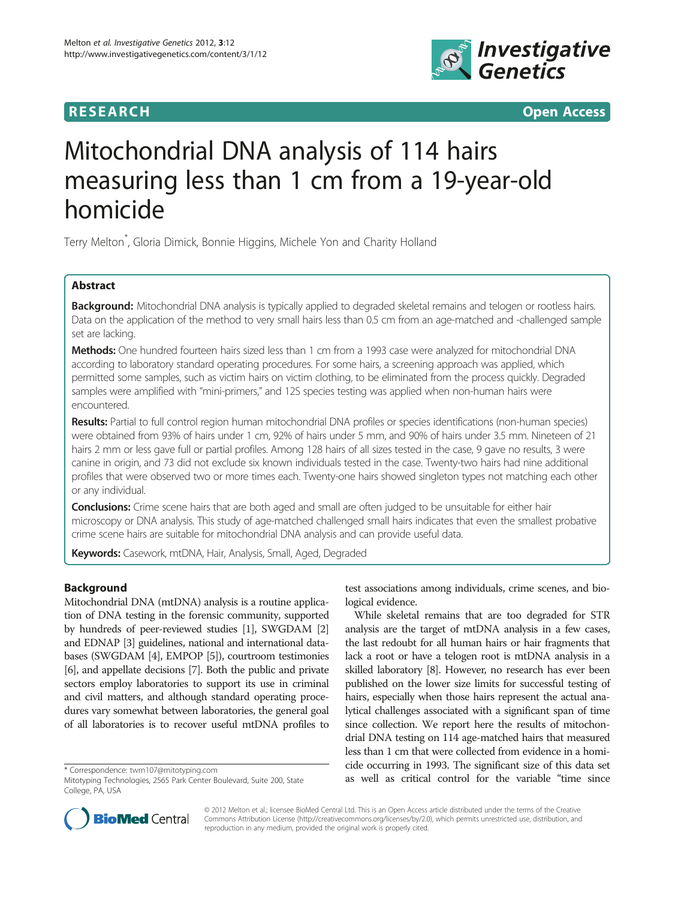

**RESEARCH RESEARCH** *CHECKER CHECKER CONFIDENTIAL CONFIDENTIAL CONFIDENTIAL CONFIDENTIAL CONFIDENTIAL CONFIDENTIAL CONFIDENTIAL CONFIDENTIAL CONFIDENTIAL CONFIDENTIAL CONFIDENTIAL CONFIDENTIAL CONFIDENTIAL CONFIDENTIAL* 

# Mitochondrial DNA analysis of 114 hairs measuring less than 1 cm from a 19-year-old homicide

Terry Melton\* , Gloria Dimick, Bonnie Higgins, Michele Yon and Charity Holland

# Abstract

Background: Mitochondrial DNA analysis is typically applied to degraded skeletal remains and telogen or rootless hairs. Data on the application of the method to very small hairs less than 0.5 cm from an age-matched and -challenged sample set are lacking.

Methods: One hundred fourteen hairs sized less than 1 cm from a 1993 case were analyzed for mitochondrial DNA according to laboratory standard operating procedures. For some hairs, a screening approach was applied, which permitted some samples, such as victim hairs on victim clothing, to be eliminated from the process quickly. Degraded samples were amplified with "mini-primers," and 12S species testing was applied when non-human hairs were encountered.

Results: Partial to full control region human mitochondrial DNA profiles or species identifications (non-human species) were obtained from 93% of hairs under 1 cm, 92% of hairs under 5 mm, and 90% of hairs under 3.5 mm. Nineteen of 21 hairs 2 mm or less gave full or partial profiles. Among 128 hairs of all sizes tested in the case, 9 gave no results, 3 were canine in origin, and 73 did not exclude six known individuals tested in the case. Twenty-two hairs had nine additional profiles that were observed two or more times each. Twenty-one hairs showed singleton types not matching each other or any individual.

**Conclusions:** Crime scene hairs that are both aged and small are often judged to be unsuitable for either hair microscopy or DNA analysis. This study of age-matched challenged small hairs indicates that even the smallest probative crime scene hairs are suitable for mitochondrial DNA analysis and can provide useful data.

Keywords: Casework, mtDNA, Hair, Analysis, Small, Aged, Degraded

# Background

Mitochondrial DNA (mtDNA) analysis is a routine application of DNA testing in the forensic community, supported by hundreds of peer-reviewed studies [\[1\]](#page-4-0), SWGDAM [[2](#page-4-0)] and EDNAP [[3](#page-4-0)] guidelines, national and international databases (SWGDAM [[4\]](#page-4-0), EMPOP [\[5\]](#page-4-0)), courtroom testimonies [[6](#page-4-0)], and appellate decisions [\[7\]](#page-4-0). Both the public and private sectors employ laboratories to support its use in criminal and civil matters, and although standard operating procedures vary somewhat between laboratories, the general goal of all laboratories is to recover useful mtDNA profiles to

\* Correspondence: [twm107@mitotyping.com](mailto:twm107@mitotyping.com)

test associations among individuals, crime scenes, and biological evidence.

While skeletal remains that are too degraded for STR analysis are the target of mtDNA analysis in a few cases, the last redoubt for all human hairs or hair fragments that lack a root or have a telogen root is mtDNA analysis in a skilled laboratory [\[8](#page-4-0)]. However, no research has ever been published on the lower size limits for successful testing of hairs, especially when those hairs represent the actual analytical challenges associated with a significant span of time since collection. We report here the results of mitochondrial DNA testing on 114 age-matched hairs that measured less than 1 cm that were collected from evidence in a homicide occurring in 1993. The significant size of this data set as well as critical control for the variable "time since



© 2012 Melton et al.; licensee BioMed Central Ltd. This is an Open Access article distributed under the terms of the Creative Commons Attribution License [\(http://creativecommons.org/licenses/by/2.0\)](http://creativecommons.org/licenses/by/2.0), which permits unrestricted use, distribution, and reproduction in any medium, provided the original work is properly cited.

Mitotyping Technologies, 2565 Park Center Boulevard, Suite 200, State College, PA, USA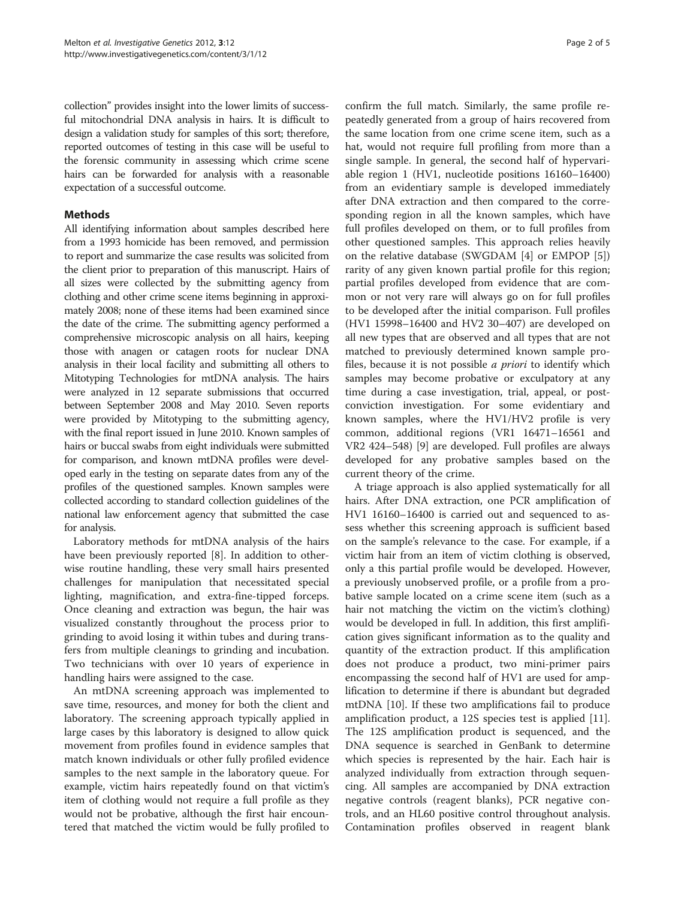collection" provides insight into the lower limits of successful mitochondrial DNA analysis in hairs. It is difficult to design a validation study for samples of this sort; therefore, reported outcomes of testing in this case will be useful to the forensic community in assessing which crime scene hairs can be forwarded for analysis with a reasonable expectation of a successful outcome.

# Methods

All identifying information about samples described here from a 1993 homicide has been removed, and permission to report and summarize the case results was solicited from the client prior to preparation of this manuscript. Hairs of all sizes were collected by the submitting agency from clothing and other crime scene items beginning in approximately 2008; none of these items had been examined since the date of the crime. The submitting agency performed a comprehensive microscopic analysis on all hairs, keeping those with anagen or catagen roots for nuclear DNA analysis in their local facility and submitting all others to Mitotyping Technologies for mtDNA analysis. The hairs were analyzed in 12 separate submissions that occurred between September 2008 and May 2010. Seven reports were provided by Mitotyping to the submitting agency, with the final report issued in June 2010. Known samples of hairs or buccal swabs from eight individuals were submitted for comparison, and known mtDNA profiles were developed early in the testing on separate dates from any of the profiles of the questioned samples. Known samples were collected according to standard collection guidelines of the national law enforcement agency that submitted the case for analysis.

Laboratory methods for mtDNA analysis of the hairs have been previously reported [\[8](#page-4-0)]. In addition to otherwise routine handling, these very small hairs presented challenges for manipulation that necessitated special lighting, magnification, and extra-fine-tipped forceps. Once cleaning and extraction was begun, the hair was visualized constantly throughout the process prior to grinding to avoid losing it within tubes and during transfers from multiple cleanings to grinding and incubation. Two technicians with over 10 years of experience in handling hairs were assigned to the case.

An mtDNA screening approach was implemented to save time, resources, and money for both the client and laboratory. The screening approach typically applied in large cases by this laboratory is designed to allow quick movement from profiles found in evidence samples that match known individuals or other fully profiled evidence samples to the next sample in the laboratory queue. For example, victim hairs repeatedly found on that victim's item of clothing would not require a full profile as they would not be probative, although the first hair encountered that matched the victim would be fully profiled to

confirm the full match. Similarly, the same profile repeatedly generated from a group of hairs recovered from the same location from one crime scene item, such as a hat, would not require full profiling from more than a single sample. In general, the second half of hypervariable region 1 (HV1, nucleotide positions 16160–16400) from an evidentiary sample is developed immediately after DNA extraction and then compared to the corresponding region in all the known samples, which have full profiles developed on them, or to full profiles from other questioned samples. This approach relies heavily on the relative database (SWGDAM [[4\]](#page-4-0) or EMPOP [\[5](#page-4-0)]) rarity of any given known partial profile for this region; partial profiles developed from evidence that are common or not very rare will always go on for full profiles to be developed after the initial comparison. Full profiles (HV1 15998–16400 and HV2 30–407) are developed on all new types that are observed and all types that are not matched to previously determined known sample profiles, because it is not possible a priori to identify which samples may become probative or exculpatory at any time during a case investigation, trial, appeal, or postconviction investigation. For some evidentiary and known samples, where the HV1/HV2 profile is very common, additional regions (VR1 16471–16561 and VR2 424–548) [[9\]](#page-4-0) are developed. Full profiles are always developed for any probative samples based on the current theory of the crime.

A triage approach is also applied systematically for all hairs. After DNA extraction, one PCR amplification of HV1 16160–16400 is carried out and sequenced to assess whether this screening approach is sufficient based on the sample's relevance to the case. For example, if a victim hair from an item of victim clothing is observed, only a this partial profile would be developed. However, a previously unobserved profile, or a profile from a probative sample located on a crime scene item (such as a hair not matching the victim on the victim's clothing) would be developed in full. In addition, this first amplification gives significant information as to the quality and quantity of the extraction product. If this amplification does not produce a product, two mini-primer pairs encompassing the second half of HV1 are used for amplification to determine if there is abundant but degraded mtDNA [\[10](#page-4-0)]. If these two amplifications fail to produce amplification product, a 12S species test is applied [\[11](#page-4-0)]. The 12S amplification product is sequenced, and the DNA sequence is searched in GenBank to determine which species is represented by the hair. Each hair is analyzed individually from extraction through sequencing. All samples are accompanied by DNA extraction negative controls (reagent blanks), PCR negative controls, and an HL60 positive control throughout analysis. Contamination profiles observed in reagent blank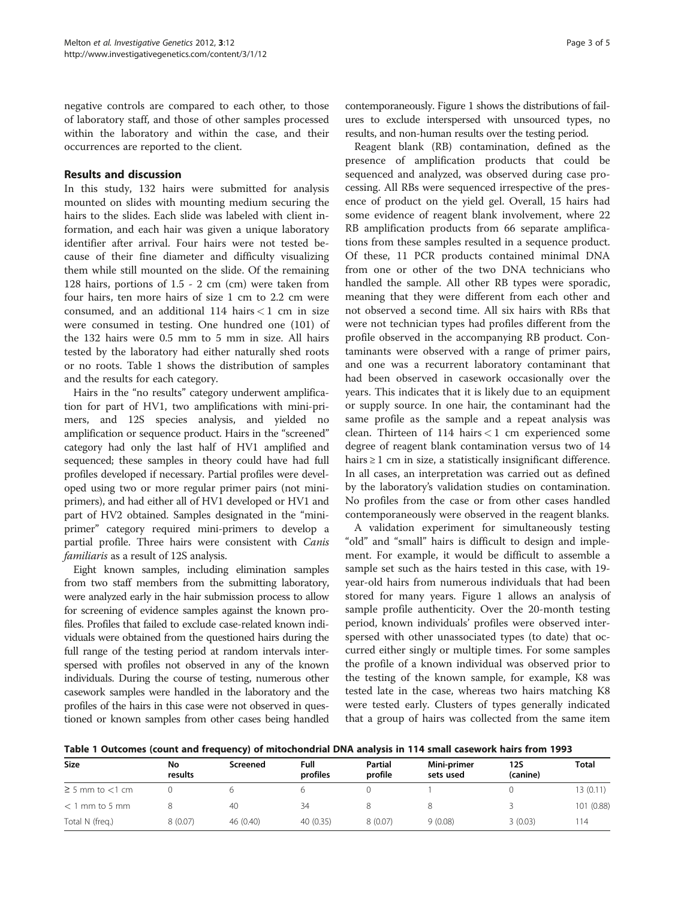negative controls are compared to each other, to those of laboratory staff, and those of other samples processed within the laboratory and within the case, and their occurrences are reported to the client.

## Results and discussion

In this study, 132 hairs were submitted for analysis mounted on slides with mounting medium securing the hairs to the slides. Each slide was labeled with client information, and each hair was given a unique laboratory identifier after arrival. Four hairs were not tested because of their fine diameter and difficulty visualizing them while still mounted on the slide. Of the remaining 128 hairs, portions of 1.5 - 2 cm (cm) were taken from four hairs, ten more hairs of size 1 cm to 2.2 cm were consumed, and an additional  $114$  hairs  $< 1$  cm in size were consumed in testing. One hundred one (101) of the 132 hairs were 0.5 mm to 5 mm in size. All hairs tested by the laboratory had either naturally shed roots or no roots. Table 1 shows the distribution of samples and the results for each category.

Hairs in the "no results" category underwent amplification for part of HV1, two amplifications with mini-primers, and 12S species analysis, and yielded no amplification or sequence product. Hairs in the "screened" category had only the last half of HV1 amplified and sequenced; these samples in theory could have had full profiles developed if necessary. Partial profiles were developed using two or more regular primer pairs (not miniprimers), and had either all of HV1 developed or HV1 and part of HV2 obtained. Samples designated in the "miniprimer" category required mini-primers to develop a partial profile. Three hairs were consistent with Canis familiaris as a result of 12S analysis.

Eight known samples, including elimination samples from two staff members from the submitting laboratory, were analyzed early in the hair submission process to allow for screening of evidence samples against the known profiles. Profiles that failed to exclude case-related known individuals were obtained from the questioned hairs during the full range of the testing period at random intervals interspersed with profiles not observed in any of the known individuals. During the course of testing, numerous other casework samples were handled in the laboratory and the profiles of the hairs in this case were not observed in questioned or known samples from other cases being handled contemporaneously. Figure [1](#page-3-0) shows the distributions of failures to exclude interspersed with unsourced types, no results, and non-human results over the testing period.

Reagent blank (RB) contamination, defined as the presence of amplification products that could be sequenced and analyzed, was observed during case processing. All RBs were sequenced irrespective of the presence of product on the yield gel. Overall, 15 hairs had some evidence of reagent blank involvement, where 22 RB amplification products from 66 separate amplifications from these samples resulted in a sequence product. Of these, 11 PCR products contained minimal DNA from one or other of the two DNA technicians who handled the sample. All other RB types were sporadic, meaning that they were different from each other and not observed a second time. All six hairs with RBs that were not technician types had profiles different from the profile observed in the accompanying RB product. Contaminants were observed with a range of primer pairs, and one was a recurrent laboratory contaminant that had been observed in casework occasionally over the years. This indicates that it is likely due to an equipment or supply source. In one hair, the contaminant had the same profile as the sample and a repeat analysis was clean. Thirteen of 114 hairs < 1 cm experienced some degree of reagent blank contamination versus two of 14 hairs ≥ 1 cm in size, a statistically insignificant difference. In all cases, an interpretation was carried out as defined by the laboratory's validation studies on contamination. No profiles from the case or from other cases handled contemporaneously were observed in the reagent blanks.

A validation experiment for simultaneously testing "old" and "small" hairs is difficult to design and implement. For example, it would be difficult to assemble a sample set such as the hairs tested in this case, with 19 year-old hairs from numerous individuals that had been stored for many years. Figure [1](#page-3-0) allows an analysis of sample profile authenticity. Over the 20-month testing period, known individuals' profiles were observed interspersed with other unassociated types (to date) that occurred either singly or multiple times. For some samples the profile of a known individual was observed prior to the testing of the known sample, for example, K8 was tested late in the case, whereas two hairs matching K8 were tested early. Clusters of types generally indicated that a group of hairs was collected from the same item

Table 1 Outcomes (count and frequency) of mitochondrial DNA analysis in 114 small casework hairs from 1993

| Size                    | No<br>results | Screened  | Full<br>profiles | Partial<br>profile | Mini-primer<br>sets used | 12S<br>(canine) | <b>Total</b> |
|-------------------------|---------------|-----------|------------------|--------------------|--------------------------|-----------------|--------------|
| $\geq$ 5 mm to $<$ 1 cm |               |           |                  |                    |                          |                 | 13(0.11)     |
| $<$ 1 mm to 5 mm        |               | 40        | 34               |                    |                          |                 | 101 (0.88)   |
| Total N (freg.)         | 8(0.07)       | 46 (0.40) | 40(0.35)         | 8(0.07)            | 9(0.08)                  | 3(0.03)         | 114          |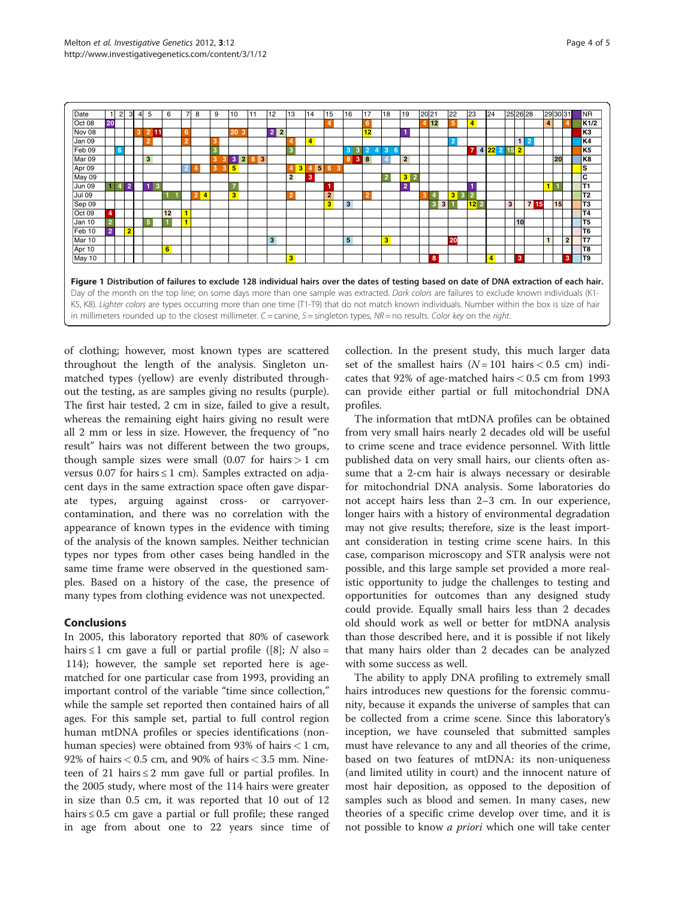<span id="page-3-0"></span>

of clothing; however, most known types are scattered throughout the length of the analysis. Singleton unmatched types (yellow) are evenly distributed throughout the testing, as are samples giving no results (purple). The first hair tested, 2 cm in size, failed to give a result, whereas the remaining eight hairs giving no result were all 2 mm or less in size. However, the frequency of "no result" hairs was not different between the two groups, though sample sizes were small (0.07 for hairs  $> 1$  cm versus 0.07 for hairs  $\leq 1$  cm). Samples extracted on adjacent days in the same extraction space often gave disparate types, arguing against cross- or carryovercontamination, and there was no correlation with the appearance of known types in the evidence with timing of the analysis of the known samples. Neither technician types nor types from other cases being handled in the same time frame were observed in the questioned samples. Based on a history of the case, the presence of many types from clothing evidence was not unexpected.

### Conclusions

In 2005, this laboratory reported that 80% of casework hairs  $\leq 1$  cm gave a full or partial profile ([\[8\]](#page-4-0); N also = 114); however, the sample set reported here is agematched for one particular case from 1993, providing an important control of the variable "time since collection," while the sample set reported then contained hairs of all ages. For this sample set, partial to full control region human mtDNA profiles or species identifications (nonhuman species) were obtained from 93% of hairs  $<$  1 cm, 92% of hairs < 0.5 cm, and 90% of hairs < 3.5 mm. Nineteen of 21 hairs  $\leq$  2 mm gave full or partial profiles. In the 2005 study, where most of the 114 hairs were greater in size than 0.5 cm, it was reported that 10 out of 12 hairs  $\leq 0.5$  cm gave a partial or full profile; these ranged in age from about one to 22 years since time of collection. In the present study, this much larger data set of the smallest hairs ( $N = 101$  hairs  $< 0.5$  cm) indicates that 92% of age-matched hairs  $< 0.5$  cm from 1993 can provide either partial or full mitochondrial DNA profiles.

The information that mtDNA profiles can be obtained from very small hairs nearly 2 decades old will be useful to crime scene and trace evidence personnel. With little published data on very small hairs, our clients often assume that a 2-cm hair is always necessary or desirable for mitochondrial DNA analysis. Some laboratories do not accept hairs less than 2–3 cm. In our experience, longer hairs with a history of environmental degradation may not give results; therefore, size is the least important consideration in testing crime scene hairs. In this case, comparison microscopy and STR analysis were not possible, and this large sample set provided a more realistic opportunity to judge the challenges to testing and opportunities for outcomes than any designed study could provide. Equally small hairs less than 2 decades old should work as well or better for mtDNA analysis than those described here, and it is possible if not likely that many hairs older than 2 decades can be analyzed with some success as well.

The ability to apply DNA profiling to extremely small hairs introduces new questions for the forensic community, because it expands the universe of samples that can be collected from a crime scene. Since this laboratory's inception, we have counseled that submitted samples must have relevance to any and all theories of the crime, based on two features of mtDNA: its non-uniqueness (and limited utility in court) and the innocent nature of most hair deposition, as opposed to the deposition of samples such as blood and semen. In many cases, new theories of a specific crime develop over time, and it is not possible to know *a priori* which one will take center